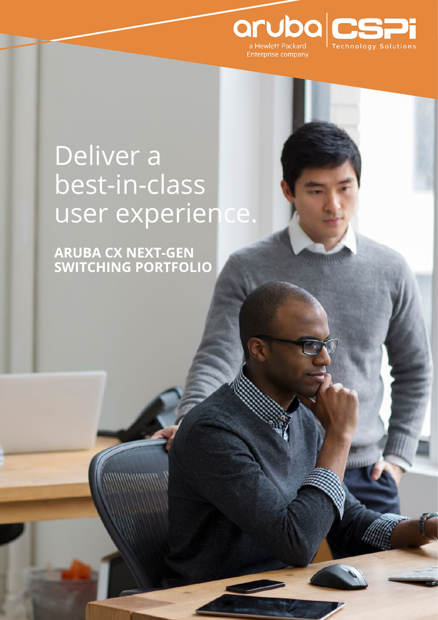

# Deliver a best-in-class user experience.

**ARUBA CX NEXT-GEN SWITCHING PORTFOLIO**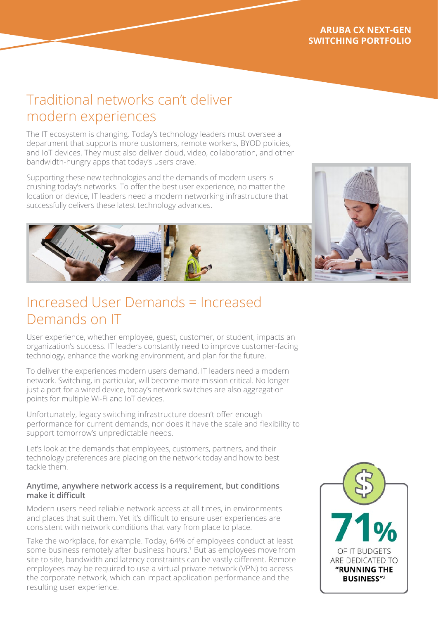# Traditional networks can't deliver modern experiences

The IT ecosystem is changing. Today's technology leaders must oversee a department that supports more customers, remote workers, BYOD policies, and IoT devices. They must also deliver cloud, video, collaboration, and other bandwidth-hungry apps that today's users crave.

Supporting these new technologies and the demands of modern users is crushing today's networks. To offer the best user experience, no matter the location or device, IT leaders need a modern networking infrastructure that successfully delivers these latest technology advances.

# Increased User Demands = Increased Demands on IT

User experience, whether employee, guest, customer, or student, impacts an organization's success. IT leaders constantly need to improve customer-facing technology, enhance the working environment, and plan for the future.

To deliver the experiences modern users demand, IT leaders need a modern network. Switching, in particular, will become more mission critical. No longer just a port for a wired device, today's network switches are also aggregation points for multiple Wi-Fi and IoT devices.

Unfortunately, legacy switching infrastructure doesn't offer enough performance for current demands, nor does it have the scale and flexibility to support tomorrow's unpredictable needs.

Let's look at the demands that employees, customers, partners, and their technology preferences are placing on the network today and how to best tackle them.

#### **Anytime, anywhere network access is a requirement, but conditions make it difficult**

Modern users need reliable network access at all times, in environments and places that suit them. Yet it's difficult to ensure user experiences are consistent with network conditions that vary from place to place.

Take the workplace, for example. Today, 64% of employees conduct at least some business remotely after business hours.<sup>1</sup> But as employees move from site to site, bandwidth and latency constraints can be vastly different. Remote employees may be required to use a virtual private network (VPN) to access the corporate network, which can impact application performance and the resulting user experience.

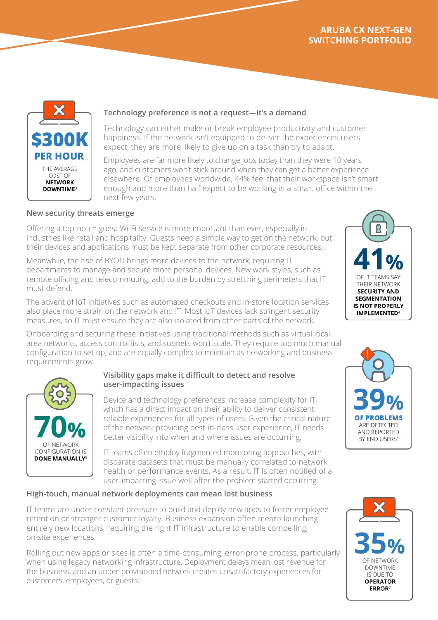

#### **Technology preference is not a request—it's a demand**

Technology can either make or break employee productivity and customer happiness. If the network isn't equipped to deliver the experiences users expect, they are more likely to give up on a task than try to adapt.

Employees are far more likely to change jobs today than they were 10 years ago, and customers won't stick around when they can get a better experience elsewhere. Of employees worldwide, 44% feel that their workspace isn't smart enough and more than half expect to be working in a smart office within the next few years.<sup>1</sup>

#### **New security threats emerge**

Offering a top-notch guest Wi-Fi service is more important than ever, especially in industries like retail and hospitality. Guests need a simple way to get on the network, but their devices and applications must be kept separate from other corporate resources.

Meanwhile, the rise of BYOD brings more devices to the network, requiring IT departments to manage and secure more personal devices. New work styles, such as remote officing and telecommuting, add to the burden by stretching perimeters that IT must defend.



The advent of IoT initiatives such as automated checkouts and in-store location services also place more strain on the network and IT. Most IoT devices lack stringent security measures, so IT must ensure they are also isolated from other parts of the network.

Onboarding and securing these initiatives using traditional methods such as virtual local area networks, access control lists, and subnets won't scale. They require too much manual configuration to set up, and are equally complex to maintain as networking and business requirements grow.



#### **Visibility gaps make it difficult to detect and resolve user-impacting issues**

Device and technology preferences increase complexity for IT, which has a direct impact on their ability to deliver consistent, reliable experiences for all types of users. Given the critical nature of the network providing best-in-class user experience, IT needs better visibility into when and where issues are occurring.

IT teams often employ fragmented monitoring approaches, with disparate datasets that must be manually correlated to network health or performance events. As a result, IT is often notified of a user-impacting issue well after the problem started occurring.

#### **High-touch, manual network deployments can mean lost business**

IT teams are under constant pressure to build and deploy new apps to foster employee retention or stronger customer loyalty. Business expansion often means launching entirely new locations, requiring the right IT infrastructure to enable compelling, on-site experiences.

Rolling out new apps or sites is often a time-consuming, error-prone process, particularly when using legacy networking infrastructure. Deployment delays mean lost revenue for the business, and an under-provisioned network creates unsatisfactory experiences for customers, employees, or guests.



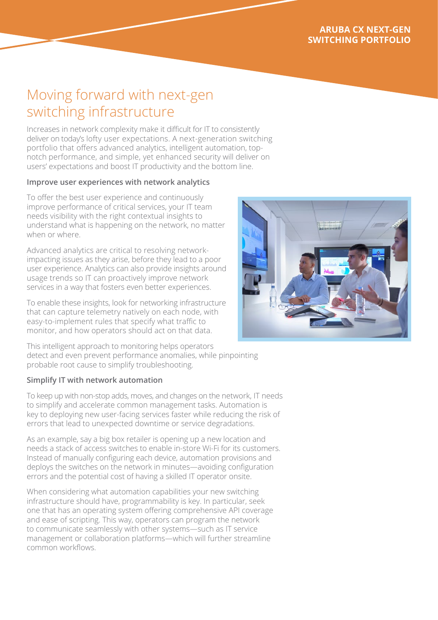# Moving forward with next-gen switching infrastructure

Increases in network complexity make it difficult for IT to consistently deliver on today's lofty user expectations. A next-generation switching portfolio that offers advanced analytics, intelligent automation, topnotch performance, and simple, yet enhanced security will deliver on users' expectations and boost IT productivity and the bottom line.

#### **Improve user experiences with network analytics**

To offer the best user experience and continuously improve performance of critical services, your IT team needs visibility with the right contextual insights to understand what is happening on the network, no matter when or where

Advanced analytics are critical to resolving networkimpacting issues as they arise, before they lead to a poor user experience. Analytics can also provide insights around usage trends so IT can proactively improve network services in a way that fosters even better experiences.

To enable these insights, look for networking infrastructure that can capture telemetry natively on each node, with easy-to-implement rules that specify what traffic to monitor, and how operators should act on that data.

This intelligent approach to monitoring helps operators detect and even prevent performance anomalies, while pinpointing probable root cause to simplify troubleshooting.

#### **Simplify IT with network automation**

To keep up with non-stop adds, moves, and changes on the network, IT needs to simplify and accelerate common management tasks. Automation is key to deploying new user-facing services faster while reducing the risk of errors that lead to unexpected downtime or service degradations.

As an example, say a big box retailer is opening up a new location and needs a stack of access switches to enable in-store Wi-Fi for its customers. Instead of manually configuring each device, automation provisions and deploys the switches on the network in minutes—avoiding configuration errors and the potential cost of having a skilled IT operator onsite.

When considering what automation capabilities your new switching infrastructure should have, programmability is key. In particular, seek one that has an operating system offering comprehensive API coverage and ease of scripting. This way, operators can program the network to communicate seamlessly with other systems—such as IT service management or collaboration platforms—which will further streamline common workflows.

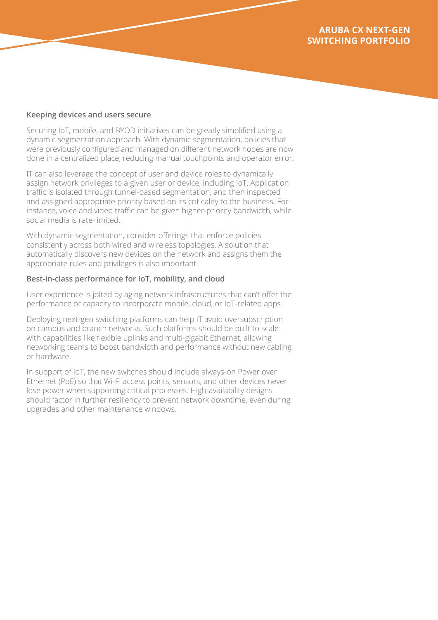#### **Keeping devices and users secure**

Securing IoT, mobile, and BYOD initiatives can be greatly simplified using a dynamic segmentation approach. With dynamic segmentation, policies that were previously configured and managed on different network nodes are now done in a centralized place, reducing manual touchpoints and operator error.

IT can also leverage the concept of user and device roles to dynamically assign network privileges to a given user or device, including IoT. Application traffic is isolated through tunnel-based segmentation, and then inspected and assigned appropriate priority based on its criticality to the business. For instance, voice and video traffic can be given higher-priority bandwidth, while social media is rate-limited.

With dynamic segmentation, consider offerings that enforce policies consistently across both wired and wireless topologies. A solution that automatically discovers new devices on the network and assigns them the appropriate rules and privileges is also important.

#### **Best-in-class performance for IoT, mobility, and cloud**

User experience is jolted by aging network infrastructures that can't offer the performance or capacity to incorporate mobile, cloud, or IoT-related apps.

Deploying next-gen switching platforms can help IT avoid oversubscription on campus and branch networks. Such platforms should be built to scale with capabilities like flexible uplinks and multi-gigabit Ethernet, allowing networking teams to boost bandwidth and performance without new cabling or hardware.

In support of IoT, the new switches should include always-on Power over Ethernet (PoE) so that Wi-Fi access points, sensors, and other devices never lose power when supporting critical processes. High-availability designs should factor in further resiliency to prevent network downtime, even during upgrades and other maintenance windows.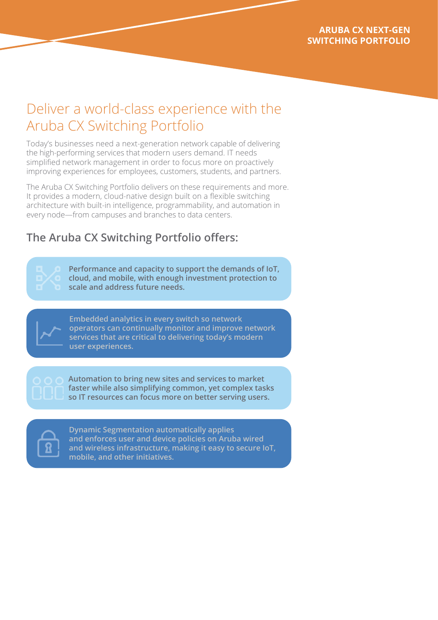# Deliver a world-class experience with the Aruba CX Switching Portfolio

Today's businesses need a next-generation network capable of delivering the high-performing services that modern users demand. IT needs simplified network management in order to focus more on proactively improving experiences for employees, customers, students, and partners.

The Aruba CX Switching Portfolio delivers on these requirements and more. It provides a modern, cloud-native design built on a flexible switching architecture with built-in intelligence, programmability, and automation in every node—from campuses and branches to data centers.

# **The Aruba CX Switching Portfolio offers:**

**Performance and capacity to support the demands of IoT, cloud, and mobile, with enough investment protection to scale and address future needs.**



**Embedded analytics in every switch so network operators can continually monitor and improve network services that are critical to delivering today's modern user experiences.** 



**Automation to bring new sites and services to market faster while also simplifying common, yet complex tasks so IT resources can focus more on better serving users.**



**Dynamic Segmentation automatically applies and enforces user and device policies on Aruba wired and wireless infrastructure, making it easy to secure IoT, mobile, and other initiatives.**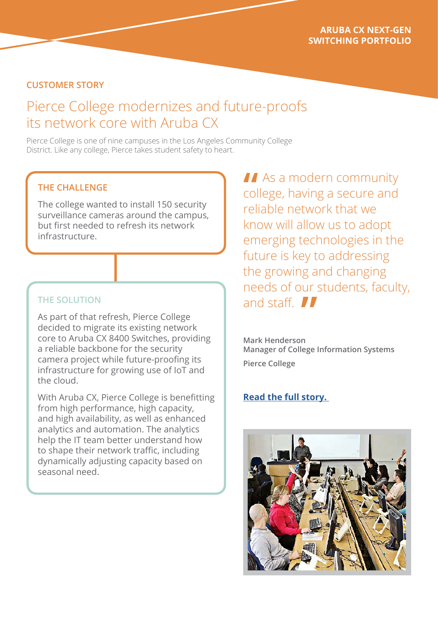## **CUSTOMER STORY**

# Pierce College modernizes and future-proofs its network core with Aruba CX

Pierce College is one of nine campuses in the Los Angeles Community College District. Like any college, Pierce takes student safety to heart.

## **THE CHALLENGE**

The college wanted to install 150 security surveillance cameras around the campus, but first needed to refresh its network infrastructure.

### **THE SOLUTION**

As part of that refresh, Pierce College decided to migrate its existing network core to Aruba CX 8400 Switches, providing a reliable backbone for the security camera project while future-proofing its infrastructure for growing use of IoT and the cloud.

With Aruba CX, Pierce College is benefitting from high performance, high capacity, and high availability, as well as enhanced analytics and automation. The analytics help the IT team better understand how to shape their network traffic, including dynamically adjusting capacity based on seasonal need.

**As a modern community** college, having a secure and reliable network that we know will allow us to adopt emerging technologies in the future is key to addressing the growing and changing needs of our students, faculty, and staff. **II "**<br>col

**Mark Henderson Manager of College Information Systems Pierce College**

### **[Read the full story.](https://blogs.arubanetworks.com/industries/future-proofing-our-network-with-campus-switching)**